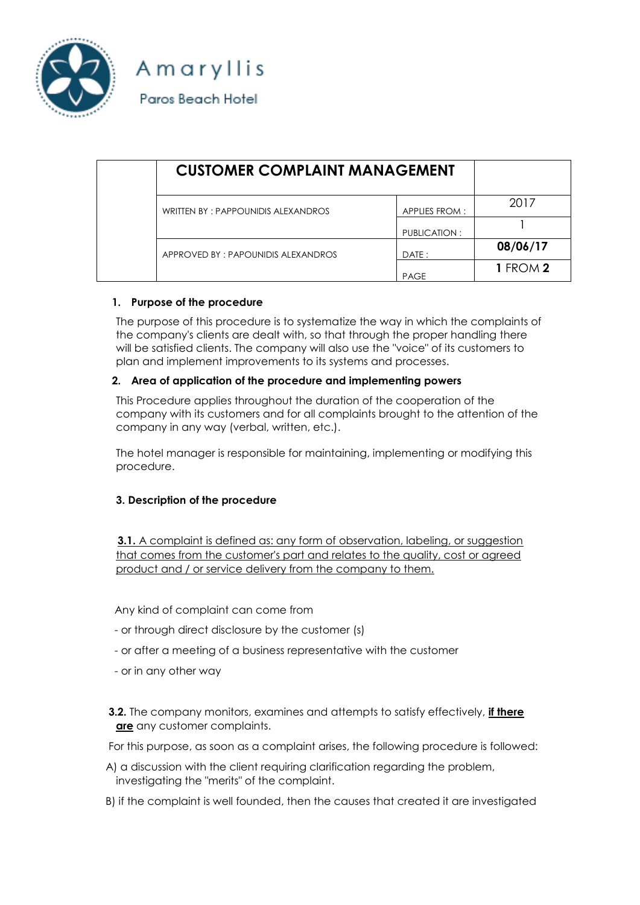

Amaryllis Paros Beach Hotel

| <b>CUSTOMER COMPLAINT MANAGEMENT</b> |               |                 |
|--------------------------------------|---------------|-----------------|
| WRITTEN BY: PAPPOUNIDIS ALEXANDROS   | APPLIES FROM: | 2017            |
|                                      | PUBLICATION:  |                 |
| APPROVED BY: PAPOUNIDIS ALEXANDROS   | DATE:         | 08/06/17        |
|                                      | <b>PAGE</b>   | <b>1 FROM 2</b> |

## **1. Purpose of the procedure**

The purpose of this procedure is to systematize the way in which the complaints of the company's clients are dealt with, so that through the proper handling there will be satisfied clients. The company will also use the "voice" of its customers to plan and implement improvements to its systems and processes.

## **2. Area of application of the procedure and implementing powers**

This Procedure applies throughout the duration of the cooperation of the company with its customers and for all complaints brought to the attention of the company in any way (verbal, written, etc.).

The hotel manager is responsible for maintaining, implementing or modifying this procedure.

## **3. Description of the procedure**

 **3.1.** Α complaint is defined as: any form of observation, labeling, or suggestion that comes from the customer's part and relates to the quality, cost or agreed product and / or service delivery from the company to them.

Any kind of complaint can come from

- or through direct disclosure by the customer (s)
- or after a meeting of a business representative with the customer
- or in any other way
- **3.2.** The company monitors, examines and attempts to satisfy effectively, **if there are** any customer complaints.

For this purpose, as soon as a complaint arises, the following procedure is followed:

- A) a discussion with the client requiring clarification regarding the problem, investigating the "merits" of the complaint.
- B) if the complaint is well founded, then the causes that created it are investigated